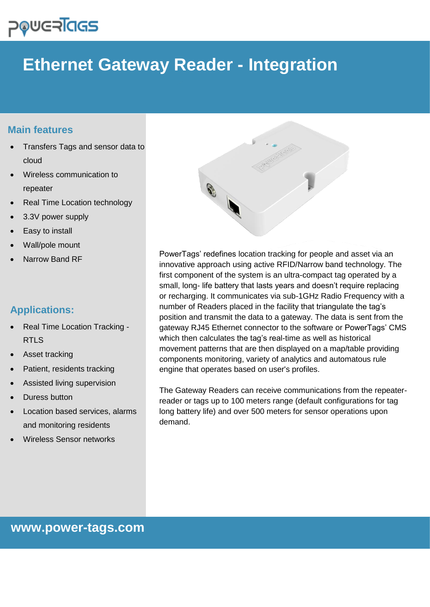# **POUGRIGS**

## **Ethernet Gateway Reader - Integration**

### **Main features**

- Transfers Tags and sensor data to cloud
- Wireless communication to repeater
- Real Time Location technology
- 3.3V power supply
- Easy to install
- Wall/pole mount
- Narrow Band RF

## **Applications:**

- Real Time Location Tracking RTLS
- Asset tracking
- Patient, residents tracking
- Assisted living supervision
- Duress button
- Location based services, alarms and monitoring residents
- Wireless Sensor networks



PowerTags' redefines location tracking for people and asset via an innovative approach using active RFID/Narrow band technology. The first component of the system is an ultra-compact tag operated by a small, long- life battery that lasts years and doesn't require replacing or recharging. It communicates via sub-1GHz Radio Frequency with a number of Readers placed in the facility that triangulate the tag's position and transmit the data to a gateway. The data is sent from the gateway RJ45 Ethernet connector to the software or PowerTags' CMS which then calculates the tag's real-time as well as historical movement patterns that are then displayed on a map/table providing components monitoring, variety of analytics and automatous rule engine that operates based on user's profiles.

The Gateway Readers can receive communications from the repeaterreader or tags up to 100 meters range (default configurations for tag long battery life) and over 500 meters for sensor operations upon demand.

**www.power-tags.com**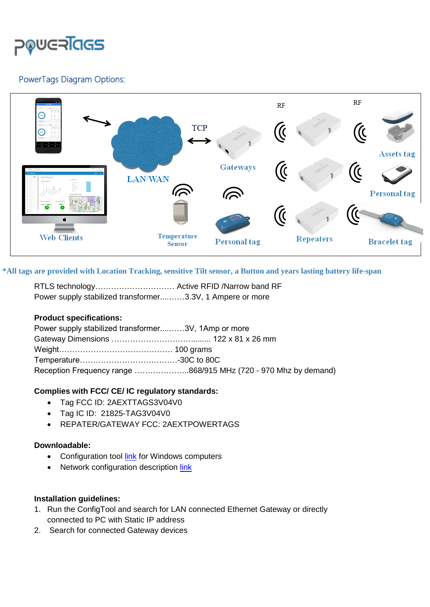

#### PowerTags Diagram Options:



**\*All tags are provided with Location Tracking, sensitive Tilt sensor, a Button and years lasting battery life-span**an

| RTLS technology Active RFID /Narrow band RF               |  |
|-----------------------------------------------------------|--|
| Power supply stabilized transformer3.3V, 1 Ampere or more |  |

#### **Product specifications:**

| Power supply stabilized transformer3V, 1Amp or more |                                                                 |
|-----------------------------------------------------|-----------------------------------------------------------------|
|                                                     |                                                                 |
|                                                     |                                                                 |
|                                                     |                                                                 |
|                                                     | Reception Frequency range 868/915 MHz (720 - 970 Mhz by demand) |

#### **Complies with FCC/ CE/ IC regulatory standards:**

- Tag FCC ID: 2AEXTTAGS3V04V0
- Tag IC ID: 21825-TAG3V04V0
- REPATER/GATEWAY FCC: 2AEXTPOWERTAGS

#### **Downloadable:**

- Configuration tool [link](https://www.wiznet.io/wp-content/uploads/wiznethome/S2E%20Module/WIZ107_108SR/Utility/WIZ107_108_config_tool.zip) for Windows computers
- Network configuration description [link](https://www.wiznet.io/wp-content/uploads/wiznethome/S2E%20Module/WIZ107_108SR/Document/WIZ107SR_AN_Public_IP_v100E.pdf)

#### **Installation guidelines:**

- 1. Run the ConfigTool and search for LAN connected Ethernet Gateway or directly connected to PC with Static IP address
- 2. Search for connected Gateway devices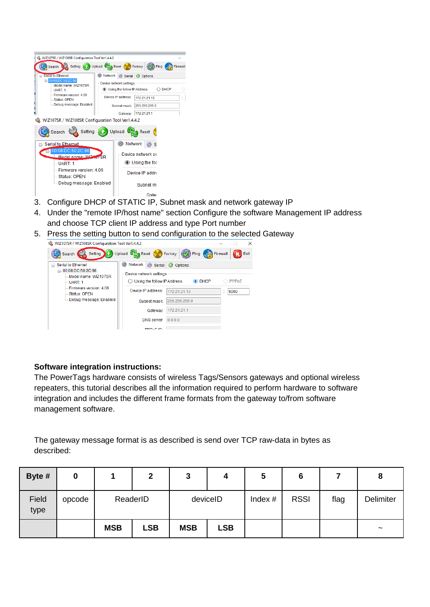| WIZ107SR / WIZ108SR Configuration Tool Ver1.4.4.2                                                                                                                                                                                                   |                                                                                                                                                                                                                                   |      |
|-----------------------------------------------------------------------------------------------------------------------------------------------------------------------------------------------------------------------------------------------------|-----------------------------------------------------------------------------------------------------------------------------------------------------------------------------------------------------------------------------------|------|
| Search                                                                                                                                                                                                                                              | Setting (1) Upload (2) Reset (2) Factory (2) Ping                                                                                                                                                                                 |      |
| <b>E. Serial to Ethernet</b><br>EL 00:08:DC:50:2C:98<br>Model name: WIZ107SR<br>UART <sup>-1</sup><br>Firmware version: 4.06<br><b>Status: OPEN</b><br>- Debug message: Enabled<br>۹<br>WIZ107SR / WIZ108SR Configuration Tool Ver1.4.4.2<br>Search | Network<br>Serial O Options<br>Device network settings<br><b>IDED</b> Using the follow IP Address<br>Device IP address:<br>172.21.21.13<br>255 255 255.0<br>Subnet mask:<br>Gateway: 172.21.21.1<br>Setting (4) Upload 0<br>Reset | DHCP |
| ⊟ Serial to Ethernet<br>00:08:DC:50:2C:98<br>Model name: WITHOTSR<br>UART: 1<br>Firmware version: 4.06<br>-- Status: OPEN<br>lill Debug message: Enabled                                                                                            | Network<br>Device network se<br>◉ Using the fol<br>Device IP addre<br>Subnet m.                                                                                                                                                   |      |
|                                                                                                                                                                                                                                                     | Gater                                                                                                                                                                                                                             |      |

3. Configure DHCP of STATIC IP, Subnet mask and network gateway IP

- 4. Under the "remote IP/host name" section Configure the software Management IP address and choose TCP client IP address and type Port number
- 5. Press the setting button to send configuration to the selected Gateway



#### **Software integration instructions:**

The PowerTags hardware consists of wireless Tags/Sensors gateways and optional wireless repeaters, this tutorial describes all the information required to perform hardware to software integration and includes the different frame formats from the gateway to/from software management software.

The gateway message format is as described is send over TCP raw-data in bytes as described:

| Byte #        | 0      |            | 2          | 3          |            | ა         | 6           |      | 8                     |
|---------------|--------|------------|------------|------------|------------|-----------|-------------|------|-----------------------|
| Field<br>type | opcode |            | ReaderID   | deviceID   |            | Index $#$ | <b>RSSI</b> | flag | <b>Delimiter</b>      |
|               |        | <b>MSB</b> | <b>LSB</b> | <b>MSB</b> | <b>LSB</b> |           |             |      | $\tilde{\phantom{a}}$ |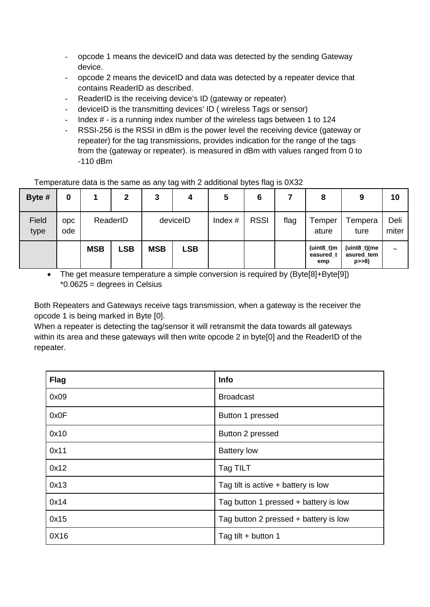- opcode 1 means the deviceID and data was detected by the sending Gateway device.
- opcode 2 means the deviceID and data was detected by a repeater device that contains ReaderID as described.
- ReaderID is the receiving device's ID (gateway or repeater)
- deviceID is the transmitting devices' ID ( wireless Tags or sensor)
- Index  $#$  is a running index number of the wireless tags between 1 to 124
- RSSI-256 is the RSSI in dBm is the power level the receiving device (gateway or repeater) for the tag transmissions, provides indication for the range of the tags from the (gateway or repeater). is measured in dBm with values ranged from 0 to -110 dBm

#### Temperature data is the same as any tag with 2 additional bytes flag is 0X32

| Byte #        | 0                 |            | 2          | 3          | 4          | 5         | 6           |      | 8                                | 9                                      | 10                    |
|---------------|-------------------|------------|------------|------------|------------|-----------|-------------|------|----------------------------------|----------------------------------------|-----------------------|
| Field<br>type | <b>ODC</b><br>ode |            | ReaderID   |            | deviceID   | Index $#$ | <b>RSSI</b> | flag | Temper<br>ature                  | Tempera<br>ture                        | Deli<br>miter         |
|               |                   | <b>MSB</b> | <b>LSB</b> | <b>MSB</b> | <b>LSB</b> |           |             |      | $(uint8_t)m$<br>easured t<br>emp | (uint8_t)(me<br>asured tem<br>$p>>8$ ) | $\tilde{\phantom{a}}$ |

• The get measure temperature a simple conversion is required by (Byte[8]+Byte[9]) \*0.0625 = degrees in Celsius

Both Repeaters and Gateways receive tags transmission, when a gateway is the receiver the opcode 1 is being marked in Byte [0].

When a repeater is detecting the tag/sensor it will retransmit the data towards all gateways within its area and these gateways will then write opcode 2 in byte[0] and the ReaderID of the repeater.

| <b>Flag</b> | Info                                  |
|-------------|---------------------------------------|
| 0x09        | <b>Broadcast</b>                      |
| 0x0F        | Button 1 pressed                      |
| 0x10        | Button 2 pressed                      |
| 0x11        | <b>Battery low</b>                    |
| 0x12        | Tag TILT                              |
| 0x13        | Tag tilt is active $+$ battery is low |
| 0x14        | Tag button 1 pressed + battery is low |
| 0x15        | Tag button 2 pressed + battery is low |
| 0X16        | Tag tilt + button 1                   |